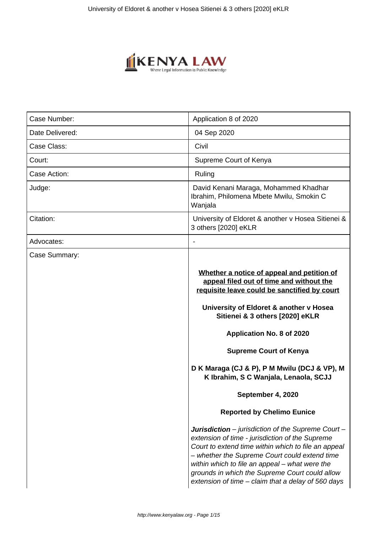

| Case Number:    | Application 8 of 2020                                                                                                                                                                                                                                                                                                                                                                                                                 |
|-----------------|---------------------------------------------------------------------------------------------------------------------------------------------------------------------------------------------------------------------------------------------------------------------------------------------------------------------------------------------------------------------------------------------------------------------------------------|
| Date Delivered: | 04 Sep 2020                                                                                                                                                                                                                                                                                                                                                                                                                           |
| Case Class:     | Civil                                                                                                                                                                                                                                                                                                                                                                                                                                 |
| Court:          | Supreme Court of Kenya                                                                                                                                                                                                                                                                                                                                                                                                                |
| Case Action:    | Ruling                                                                                                                                                                                                                                                                                                                                                                                                                                |
| Judge:          | David Kenani Maraga, Mohammed Khadhar<br>Ibrahim, Philomena Mbete Mwilu, Smokin C<br>Wanjala                                                                                                                                                                                                                                                                                                                                          |
| Citation:       | University of Eldoret & another v Hosea Sitienei &<br>3 others [2020] eKLR                                                                                                                                                                                                                                                                                                                                                            |
| Advocates:      |                                                                                                                                                                                                                                                                                                                                                                                                                                       |
| Case Summary:   | Whether a notice of appeal and petition of<br>appeal filed out of time and without the<br>requisite leave could be sanctified by court<br>University of Eldoret & another v Hosea<br>Sitienei & 3 others [2020] eKLR<br>Application No. 8 of 2020<br><b>Supreme Court of Kenya</b><br>D K Maraga (CJ & P), P M Mwilu (DCJ & VP), M<br>K Ibrahim, S C Wanjala, Lenaola, SCJJ<br>September 4, 2020<br><b>Reported by Chelimo Eunice</b> |
|                 | <b>Jurisdiction</b> – jurisdiction of the Supreme Court –<br>extension of time - jurisdiction of the Supreme<br>Court to extend time within which to file an appeal<br>- whether the Supreme Court could extend time<br>within which to file an appeal – what were the<br>grounds in which the Supreme Court could allow<br>extension of time – claim that a delay of 560 days                                                        |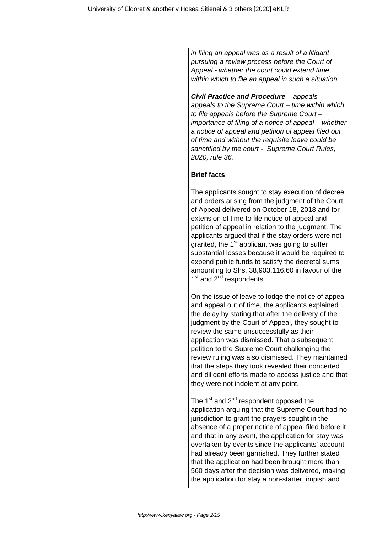in filing an appeal was as a result of a litigant pursuing a review process before the Court of Appeal - whether the court could extend time within which to file an appeal in such a situation.

**Civil Practice and Procedure** – appeals – appeals to the Supreme Court – time within which to file appeals before the Supreme Court – importance of filing of a notice of appeal – whether a notice of appeal and petition of appeal filed out of time and without the requisite leave could be sanctified by the court - Supreme Court Rules, 2020, rule 36.

# **Brief facts**

The applicants sought to stay execution of decree and orders arising from the judgment of the Court of Appeal delivered on October 18, 2018 and for extension of time to file notice of appeal and petition of appeal in relation to the judgment. The applicants argued that if the stay orders were not granted, the 1<sup>st</sup> applicant was going to suffer substantial losses because it would be required to expend public funds to satisfy the decretal sums amounting to Shs. 38,903,116.60 in favour of the 1<sup>st</sup> and 2<sup>nd</sup> respondents.

On the issue of leave to lodge the notice of appeal and appeal out of time, the applicants explained the delay by stating that after the delivery of the judgment by the Court of Appeal, they sought to review the same unsuccessfully as their application was dismissed. That a subsequent petition to the Supreme Court challenging the review ruling was also dismissed. They maintained that the steps they took revealed their concerted and diligent efforts made to access justice and that they were not indolent at any point.

The  $1<sup>st</sup>$  and  $2<sup>nd</sup>$  respondent opposed the application arguing that the Supreme Court had no jurisdiction to grant the prayers sought in the absence of a proper notice of appeal filed before it and that in any event, the application for stay was overtaken by events since the applicants' account had already been garnished. They further stated that the application had been brought more than 560 days after the decision was delivered, making the application for stay a non-starter, impish and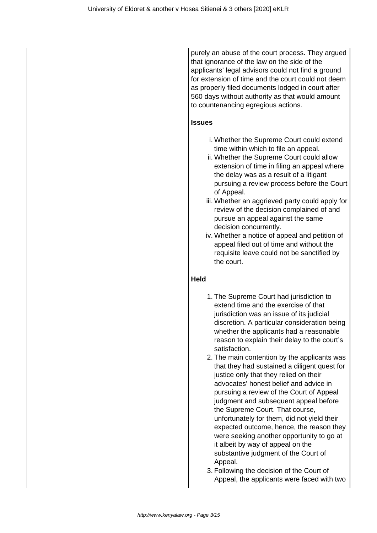purely an abuse of the court process. They argued that ignorance of the law on the side of the applicants' legal advisors could not find a ground for extension of time and the court could not deem as properly filed documents lodged in court after 560 days without authority as that would amount to countenancing egregious actions.

# **Issues**

- i. Whether the Supreme Court could extend time within which to file an appeal.
- ii. Whether the Supreme Court could allow extension of time in filing an appeal where the delay was as a result of a litigant pursuing a review process before the Court of Appeal.
- iii. Whether an aggrieved party could apply for review of the decision complained of and pursue an appeal against the same decision concurrently.
- iv. Whether a notice of appeal and petition of appeal filed out of time and without the requisite leave could not be sanctified by the court.

# **Held**

- 1. The Supreme Court had jurisdiction to extend time and the exercise of that jurisdiction was an issue of its judicial discretion. A particular consideration being whether the applicants had a reasonable reason to explain their delay to the court's satisfaction.
- 2. The main contention by the applicants was that they had sustained a diligent quest for justice only that they relied on their advocates' honest belief and advice in pursuing a review of the Court of Appeal judgment and subsequent appeal before the Supreme Court. That course, unfortunately for them, did not yield their expected outcome, hence, the reason they were seeking another opportunity to go at it albeit by way of appeal on the substantive judgment of the Court of Appeal.
- 3. Following the decision of the Court of Appeal, the applicants were faced with two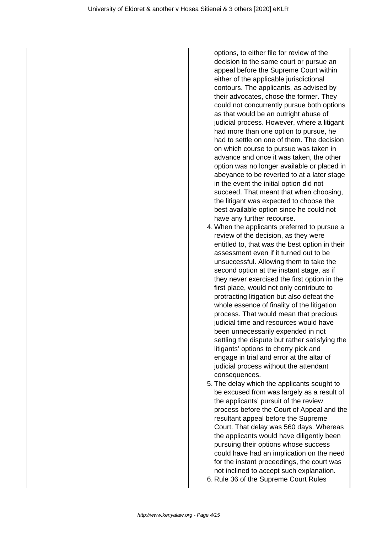options, to either file for review of the decision to the same court or pursue an appeal before the Supreme Court within either of the applicable jurisdictional contours. The applicants, as advised by their advocates, chose the former. They could not concurrently pursue both options as that would be an outright abuse of judicial process. However, where a litigant had more than one option to pursue, he had to settle on one of them. The decision on which course to pursue was taken in advance and once it was taken, the other option was no longer available or placed in abeyance to be reverted to at a later stage in the event the initial option did not succeed. That meant that when choosing, the litigant was expected to choose the best available option since he could not have any further recourse.

- 4. When the applicants preferred to pursue a review of the decision, as they were entitled to, that was the best option in their assessment even if it turned out to be unsuccessful. Allowing them to take the second option at the instant stage, as if they never exercised the first option in the first place, would not only contribute to protracting litigation but also defeat the whole essence of finality of the litigation process. That would mean that precious judicial time and resources would have been unnecessarily expended in not settling the dispute but rather satisfying the litigants' options to cherry pick and engage in trial and error at the altar of judicial process without the attendant consequences.
- 5. The delay which the applicants sought to be excused from was largely as a result of the applicants' pursuit of the review process before the Court of Appeal and the resultant appeal before the Supreme Court. That delay was 560 days. Whereas the applicants would have diligently been pursuing their options whose success could have had an implication on the need for the instant proceedings, the court was not inclined to accept such explanation.
- 6. Rule 36 of the Supreme Court Rules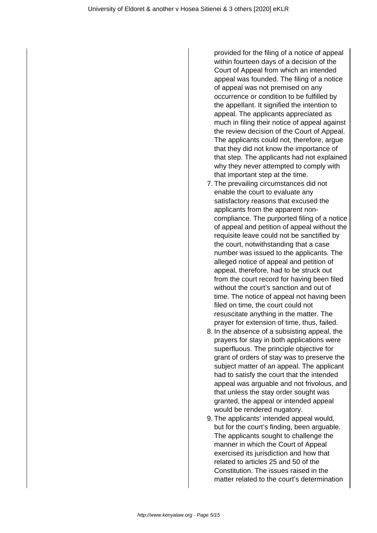provided for the filing of a notice of appeal within fourteen days of a decision of the Court of Appeal from which an intended appeal was founded. The filing of a notice of appeal was not premised on any occurrence or condition to be fulfilled by the appellant. It signified the intention to appeal. The applicants appreciated as much in filing their notice of appeal against the review decision of the Court of Appeal. The applicants could not, therefore, argue that they did not know the importance of that step. The applicants had not explained why they never attempted to comply with that important step at the time.

- 7. The prevailing circumstances did not enable the court to evaluate any satisfactory reasons that excused the applicants from the apparent noncompliance. The purported filing of a notice of appeal and petition of appeal without the requisite leave could not be sanctified by the court, notwithstanding that a case number was issued to the applicants. The alleged notice of appeal and petition of appeal, therefore, had to be struck out from the court record for having been filed without the court's sanction and out of time. The notice of appeal not having been filed on time, the court could not resuscitate anything in the matter. The prayer for extension of time, thus, failed.
- 8. In the absence of a subsisting appeal, the prayers for stay in both applications were superfluous. The principle objective for grant of orders of stay was to preserve the subject matter of an appeal. The applicant had to satisfy the court that the intended appeal was arguable and not frivolous, and that unless the stay order sought was granted, the appeal or intended appeal would be rendered nugatory.
- 9. The applicants' intended appeal would, but for the court's finding, been arguable. The applicants sought to challenge the manner in which the Court of Appeal exercised its jurisdiction and how that related to articles 25 and 50 of the Constitution. The issues raised in the matter related to the court's determination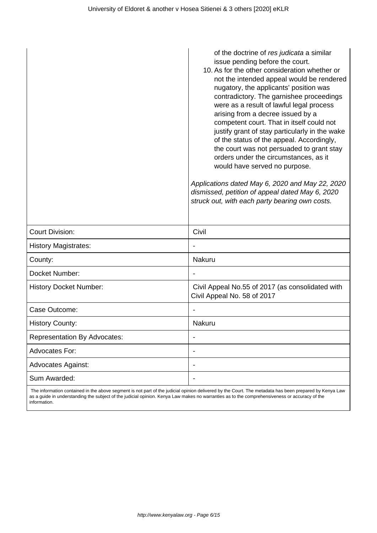|                                     | of the doctrine of res judicata a similar<br>issue pending before the court.<br>10. As for the other consideration whether or<br>not the intended appeal would be rendered<br>nugatory, the applicants' position was<br>contradictory. The garnishee proceedings<br>were as a result of lawful legal process<br>arising from a decree issued by a<br>competent court. That in itself could not<br>justify grant of stay particularly in the wake<br>of the status of the appeal. Accordingly,<br>the court was not persuaded to grant stay<br>orders under the circumstances, as it<br>would have served no purpose.<br>Applications dated May 6, 2020 and May 22, 2020<br>dismissed, petition of appeal dated May 6, 2020<br>struck out, with each party bearing own costs. |
|-------------------------------------|------------------------------------------------------------------------------------------------------------------------------------------------------------------------------------------------------------------------------------------------------------------------------------------------------------------------------------------------------------------------------------------------------------------------------------------------------------------------------------------------------------------------------------------------------------------------------------------------------------------------------------------------------------------------------------------------------------------------------------------------------------------------------|
| <b>Court Division:</b>              | Civil                                                                                                                                                                                                                                                                                                                                                                                                                                                                                                                                                                                                                                                                                                                                                                        |
| <b>History Magistrates:</b>         |                                                                                                                                                                                                                                                                                                                                                                                                                                                                                                                                                                                                                                                                                                                                                                              |
| County:                             | <b>Nakuru</b>                                                                                                                                                                                                                                                                                                                                                                                                                                                                                                                                                                                                                                                                                                                                                                |
| Docket Number:                      |                                                                                                                                                                                                                                                                                                                                                                                                                                                                                                                                                                                                                                                                                                                                                                              |
| <b>History Docket Number:</b>       | Civil Appeal No.55 of 2017 (as consolidated with<br>Civil Appeal No. 58 of 2017                                                                                                                                                                                                                                                                                                                                                                                                                                                                                                                                                                                                                                                                                              |
| Case Outcome:                       |                                                                                                                                                                                                                                                                                                                                                                                                                                                                                                                                                                                                                                                                                                                                                                              |
| <b>History County:</b>              | Nakuru                                                                                                                                                                                                                                                                                                                                                                                                                                                                                                                                                                                                                                                                                                                                                                       |
| <b>Representation By Advocates:</b> |                                                                                                                                                                                                                                                                                                                                                                                                                                                                                                                                                                                                                                                                                                                                                                              |
| Advocates For:                      | ×,                                                                                                                                                                                                                                                                                                                                                                                                                                                                                                                                                                                                                                                                                                                                                                           |
| Advocates Against:                  |                                                                                                                                                                                                                                                                                                                                                                                                                                                                                                                                                                                                                                                                                                                                                                              |
| Sum Awarded:                        |                                                                                                                                                                                                                                                                                                                                                                                                                                                                                                                                                                                                                                                                                                                                                                              |

 The information contained in the above segment is not part of the judicial opinion delivered by the Court. The metadata has been prepared by Kenya Law as a guide in understanding the subject of the judicial opinion. Kenya Law makes no warranties as to the comprehensiveness or accuracy of the information.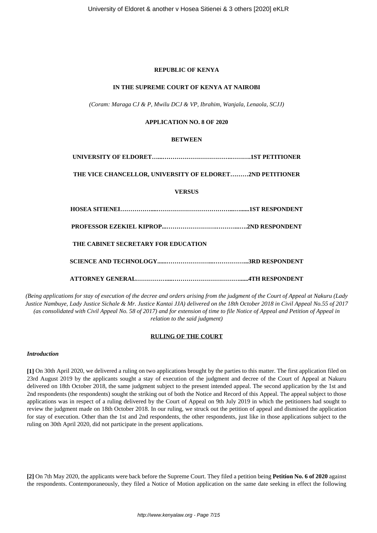## **REPUBLIC OF KENYA**

#### **IN THE SUPREME COURT OF KENYA AT NAIROBI**

*(Coram: Maraga CJ & P, Mwilu DCJ & VP, Ibrahim, Wanjala, Lenaola, SCJJ)*

## **APPLICATION NO. 8 OF 2020**

# **BETWEEN**

**UNIVERSITY OF ELDORET…...…………………………….……….1ST PETITIONER**

**THE VICE CHANCELLOR, UNIVERSITY OF ELDORET………2ND PETITIONER**

## **VERSUS**

**HOSEA SITIENEI……………....………………………………...…......1ST RESPONDENT**

**PROFESSOR EZEKIEL KIPROP...…………………….………...….2ND RESPONDENT**

**THE CABINET SECRETARY FOR EDUCATION**

**SCIENCE AND TECHNOLOGY......…………………...……………...3RD RESPONDENT**

**ATTORNEY GENERAL……………....……………………………......4TH RESPONDENT**

*(Being applications for stay of execution of the decree and orders arising from the judgment of the Court of Appeal at Nakuru (Lady Justice Nambuye, Lady Justice Sichale & Mr. Justice Kantai JJA) delivered on the 18th October 2018 in Civil Appeal No.55 of 2017 (as consolidated with Civil Appeal No. 58 of 2017) and for extension of time to file Notice of Appeal and Petition of Appeal in relation to the said judgment)*

## **RULING OF THE COURT**

## *Introduction*

**[1]** On 30th April 2020, we delivered a ruling on two applications brought by the parties to this matter. The first application filed on 23rd August 2019 by the applicants sought a stay of execution of the judgment and decree of the Court of Appeal at Nakuru delivered on 18th October 2018, the same judgment subject to the present intended appeal. The second application by the 1st and 2nd respondents (the respondents) sought the striking out of both the Notice and Record of this Appeal. The appeal subject to those applications was in respect of a ruling delivered by the Court of Appeal on 9th July 2019 in which the petitioners had sought to review the judgment made on 18th October 2018. In our ruling, we struck out the petition of appeal and dismissed the application for stay of execution. Other than the 1st and 2nd respondents, the other respondents, just like in those applications subject to the ruling on 30th April 2020, did not participate in the present applications.

**[2]** On 7th May 2020, the applicants were back before the Supreme Court. They filed a petition being **Petition No. 6 of 2020** against the respondents. Contemporaneously, they filed a Notice of Motion application on the same date seeking in effect the following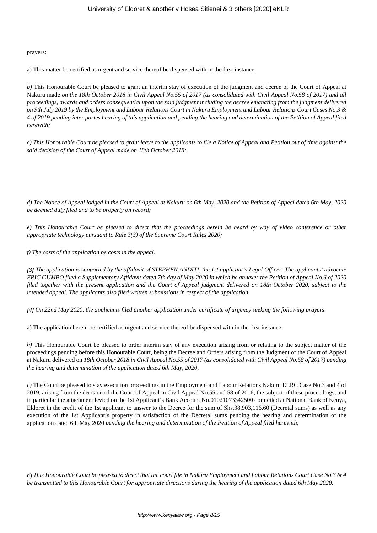prayers:

a) This matter be certified as urgent and service thereof be dispensed with in the first instance.

*b*) This Honourable Court be pleased to grant an interim stay of execution of the judgment and decree of the Court of Appeal at Nakuru made *on the 18th October 2018 in Civil Appeal No.55 of 2017 (as consolidated with Civil Appeal No.58 of 2017) and all proceedings, awards and orders consequential upon the said judgment including the decree emanating from the judgment delivered on 9th July 2019 by the Employment and Labour Relations Court in Nakuru Employment and Labour Relations Court Cases No.3 & 4 of 2019 pending inter partes hearing of this application and pending the hearing and determination of the Petition of Appeal filed herewith;*

*c) This Honourable Court be pleased to grant leave to the applicants to file a Notice of Appeal and Petition out of time against the said decision of the Court of Appeal made on 18th October 2018;*

*d) The Notice of Appeal lodged in the Court of Appeal at Nakuru on 6th May, 2020 and the Petition of Appeal dated 6th May, 2020 be deemed duly filed and to be properly on record;*

*e) This Honourable Court be pleased to direct that the proceedings herein be heard by way of video conference or other appropriate technology pursuant to Rule 3(3) of the Supreme Court Rules 2020;*

*f) The costs of the application be costs in the appeal.*

*[3] The application is supported by the affidavit of STEPHEN ANDITI, the 1st applicant's Legal Officer. The applicants' advocate ERIC GUMBO filed a Supplementary Affidavit dated 7th day of May 2020 in which he annexes the Petition of Appeal No.6 of 2020 filed together with the present application and the Court of Appeal judgment delivered on 18th October 2020, subject to the intended appeal. The applicants also filed written submissions in respect of the application.*

*[4] On 22nd May 2020, the applicants filed another application under certificate of urgency seeking the following prayers:*

a) The application herein be certified as urgent and service thereof be dispensed with in the first instance.

*b)* This Honourable Court be pleased to order interim stay of any execution arising from or relating to the subject matter of the proceedings pending before this Honourable Court, being the Decree and Orders arising from the Judgment of the Court of Appeal at Nakuru delivered on *18th October 2018 in Civil Appeal No.55 of 2017 (as consolidated with Civil Appeal No.58 of 2017) pending the hearing and determination of the application dated 6th May, 2020;*

*c)* The Court be pleased to stay execution proceedings in the Employment and Labour Relations Nakuru ELRC Case No.3 and 4 of 2019, arising from the decision of the Court of Appeal in Civil Appeal No.55 and 58 of 2016, the subject of these proceedings, and in particular the attachment levied on the 1st Applicant's Bank Account No.01021073342500 domiciled at National Bank of Kenya, Eldoret in the credit of the 1st applicant to answer to the Decree for the sum of Shs.38,903,116.60 (Decretal sums) as well as any execution of the 1st Applicant's property in satisfaction of the Decretal sums pending the hearing and determination of the application dated 6th May 2020 *pending the hearing and determination of the Petition of Appeal filed herewith;*

d) *This Honourable Court be pleased to direct that the court file in Nakuru Employment and Labour Relations Court Case No.3 & 4 be transmitted to this Honourable Court for appropriate directions during the hearing of the application dated 6th May 2020.*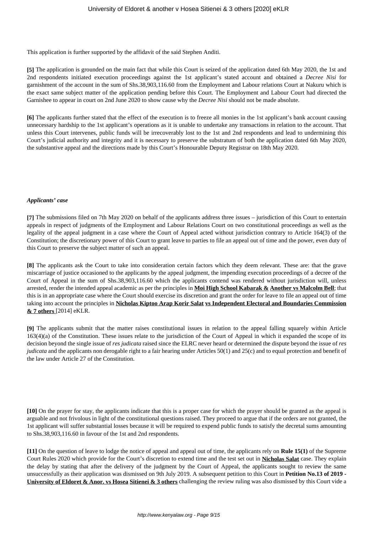This application is further supported by the affidavit of the said Stephen Anditi.

**[5]** The application is grounded on the main fact that while this Court is seized of the application dated 6th May 2020, the 1st and 2nd respondents initiated execution proceedings against the 1st applicant's stated account and obtained a *Decree Nisi* for garnishment of the account in the sum of Shs.38,903,116.60 from the Employment and Labour relations Court at Nakuru which is the exact same subject matter of the application pending before this Court. The Employment and Labour Court had directed the Garnishee to appear in court on 2nd June 2020 to show cause why the *Decree Nisi* should not be made absolute.

**[6]** The applicants further stated that the effect of the execution is to freeze all monies in the 1st applicant's bank account causing unnecessary hardship to the 1st applicant's operations as it is unable to undertake any transactions in relation to the account. That unless this Court intervenes, public funds will be irrecoverably lost to the 1st and 2nd respondents and lead to undermining this Court's judicial authority and integrity and it is necessary to preserve the substratum of both the application dated 6th May 2020, the substantive appeal and the directions made by this Court's Honourable Deputy Registrar on 18th May 2020.

#### *Applicants' case*

**[7]** The submissions filed on 7th May 2020 on behalf of the applicants address three issues – jurisdiction of this Court to entertain appeals in respect of judgments of the Employment and Labour Relations Court on two constitutional proceedings as well as the legality of the appeal judgment in a case where the Court of Appeal acted without jurisdiction contrary to Article 164(3) of the Constitution; the discretionary power of this Court to grant leave to parties to file an appeal out of time and the power, even duty of this Court to preserve the subject matter of such an appeal.

**[8]** The applicants ask the Court to take into consideration certain factors which they deem relevant. These are: that the grave miscarriage of justice occasioned to the applicants by the appeal judgment, the impending execution proceedings of a decree of the Court of Appeal in the sum of Shs.38,903,116.60 which the applicants contend was rendered without jurisdiction will, unless arrested, render the intended appeal academic as per the principles in **Moi High School Kabarak & Another vs Malcolm Bell**; that this is in an appropriate case where the Court should exercise its discretion and grant the order for leave to file an appeal out of time taking into account the principles in **Nicholas Kiptoo Arap Korir Salat vs Independent Electoral and Boundaries Commission & 7 others** [2014] eKLR.

**[9]** The applicants submit that the matter raises constitutional issues in relation to the appeal falling squarely within Article 163(4)(a) of the Constitution. These issues relate to the jurisdiction of the Court of Appeal in which it expanded the scope of its decision beyond the single issue of *res judicata* raised since the ELRC never heard or determined the dispute beyond the issue of *res judicata* and the applicants non derogable right to a fair hearing under Articles 50(1) and 25(c) and to equal protection and benefit of the law under Article 27 of the Constitution.

**[10]** On the prayer for stay, the applicants indicate that this is a proper case for which the prayer should be granted as the appeal is arguable and not frivolous in light of the constitutional questions raised. They proceed to argue that if the orders are not granted, the 1st applicant will suffer substantial losses because it will be required to expend public funds to satisfy the decretal sums amounting to Shs.38,903,116.60 in favour of the 1st and 2nd respondents.

**[11]** On the question of leave to lodge the notice of appeal and appeal out of time, the applicants rely on **Rule 15(1)** of the Supreme Court Rules 2020 which provide for the Court's discretion to extend time and the test set out in **Nicholas Salat** case. They explain the delay by stating that after the delivery of the judgment by the Court of Appeal, the applicants sought to review the same unsuccessfully as their application was dismissed on 9th July 2019. A subsequent petition to this Court in **Petition No.13 of 2019 - University of Eldoret & Anor. vs Hosea Sitienei & 3 others** challenging the review ruling was also dismissed by this Court vide a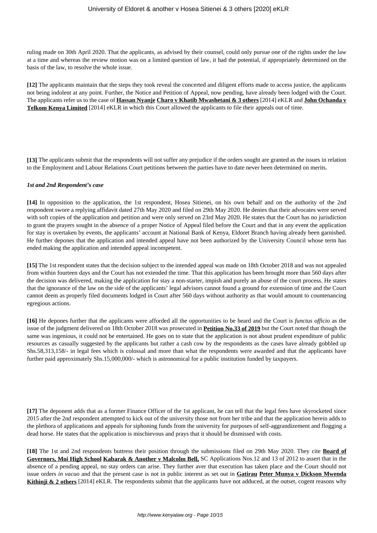ruling made on 30th April 2020. That the applicants, as advised by their counsel, could only pursue one of the rights under the law at a time and whereas the review motion was on a limited question of law, it had the potential, if appropriately determined on the basis of the law, to resolve the whole issue.

**[12]** The applicants maintain that the steps they took reveal the concerted and diligent efforts made to access justice, the applicants not being indolent at any point. Further, the Notice and Petition of Appeal, now pending, have already been lodged with the Court. The applicants refer us to the case of **Hassan Nyanje Charo v Khatib Mwashetani & 3 others** [2014] eKLR and **John Ochanda v Telkom Kenya Limited** [2014] eKLR in which this Court allowed the applicants to file their appeals out of time.

**[13]** The applicants submit that the respondents will not suffer any prejudice if the orders sought are granted as the issues in relation to the Employment and Labour Relations Court petitions between the parties have to date never been determined on merits.

#### *1st and 2nd Respondent's case*

**[14]** In opposition to the application, the 1st respondent, Hosea Sitienei, on his own behalf and on the authority of the 2nd respondent swore a replying affidavit dated 27th May 2020 and filed on 29th May 2020. He denies that their advocates were served with soft copies of the application and petition and were only served on 23rd May 2020. He states that the Court has no jurisdiction to grant the prayers sought in the absence of a proper Notice of Appeal filed before the Court and that in any event the application for stay is overtaken by events, the applicants' account at National Bank of Kenya, Eldoret Branch having already been garnished. He further depones that the application and intended appeal have not been authorized by the University Council whose term has ended making the application and intended appeal incompetent.

**[15]** The 1st respondent states that the decision subject to the intended appeal was made on 18th October 2018 and was not appealed from within fourteen days and the Court has not extended the time. That this application has been brought more than 560 days after the decision was delivered, making the application for stay a non-starter, impish and purely an abuse of the court process. He states that the ignorance of the law on the side of the applicants' legal advisors cannot found a ground for extension of time and the Court cannot deem as properly filed documents lodged in Court after 560 days without authority as that would amount to countenancing egregious actions.

**[16]** He depones further that the applicants were afforded all the opportunities to be heard and the Court is *functus officio* as the issue of the judgment delivered on 18th October 2018 was prosecuted in **Petition No.33 of 2019** but the Court noted that though the same was ingenious, it could not be entertained. He goes on to state that the application is not about prudent expenditure of public resources as casually suggested by the applicants but rather a cash cow by the respondents as the cases have already gobbled up Shs.58,313,158/- in legal fees which is colossal and more than what the respondents were awarded and that the applicants have further paid approximately Shs.15,000,000/- which is astronomical for a public institution funded by taxpayers.

**[17]** The deponent adds that as a former Finance Officer of the 1st applicant, he can tell that the legal fees have skyrocketed since 2015 after the 2nd respondent attempted to kick out of the university those not from her tribe and that the application herein adds to the plethora of applications and appeals for siphoning funds from the university for purposes of self-aggrandizement and flogging a dead horse. He states that the application is mischievous and prays that it should be dismissed with costs.

**[18]** The 1st and 2nd respondents buttress their position through the submissions filed on 29th May 2020. They cite **Board of Governors, Moi High School Kabarak & Another v Malcolm Bell,** SC Applications Nos.12 and 13 of 2012 to assert that in the absence of a pending appeal, no stay orders can arise. They further aver that execution has taken place and the Court should not issue orders *in vacuo* and that the present case is not in public interest as set out in **Gatirau Peter Munya v Dickson Mwenda Kithinji & 2 others** [2014] eKLR. The respondents submit that the applicants have not adduced, at the outset, cogent reasons why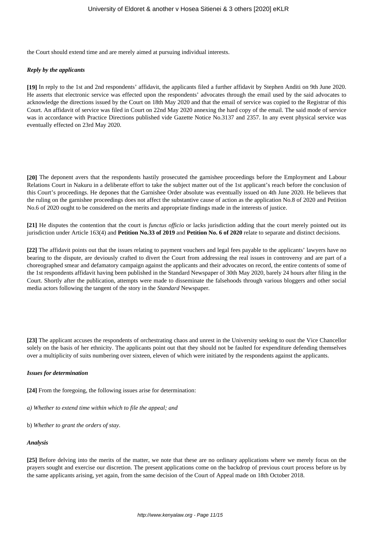the Court should extend time and are merely aimed at pursuing individual interests.

#### *Reply by the applicants*

**[19]** In reply to the 1st and 2nd respondents' affidavit, the applicants filed a further affidavit by Stephen Anditi on 9th June 2020. He asserts that electronic service was effected upon the respondents' advocates through the email used by the said advocates to acknowledge the directions issued by the Court on 18th May 2020 and that the email of service was copied to the Registrar of this Court. An affidavit of service was filed in Court on 22nd May 2020 annexing the hard copy of the email. The said mode of service was in accordance with Practice Directions published vide Gazette Notice No.3137 and 2357. In any event physical service was eventually effected on 23rd May 2020.

**[20]** The deponent avers that the respondents hastily prosecuted the garnishee proceedings before the Employment and Labour Relations Court in Nakuru in a deliberate effort to take the subject matter out of the 1st applicant's reach before the conclusion of this Court's proceedings. He depones that the Garnishee Order absolute was eventually issued on 4th June 2020. He believes that the ruling on the garnishee proceedings does not affect the substantive cause of action as the application No.8 of 2020 and Petition No.6 of 2020 ought to be considered on the merits and appropriate findings made in the interests of justice.

**[21]** He disputes the contention that the court is *functus officio* or lacks jurisdiction adding that the court merely pointed out its jurisdiction under Article 163(4) and **Petition No.33 of 2019** and **Petition No. 6 of 2020** relate to separate and distinct decisions.

**[22]** The affidavit points out that the issues relating to payment vouchers and legal fees payable to the applicants' lawyers have no bearing to the dispute, are deviously crafted to divert the Court from addressing the real issues in controversy and are part of a choreographed smear and defamatory campaign against the applicants and their advocates on record, the entire contents of some of the 1st respondents affidavit having been published in the Standard Newspaper of 30th May 2020, barely 24 hours after filing in the Court. Shortly after the publication, attempts were made to disseminate the falsehoods through various bloggers and other social media actors following the tangent of the story in the *Standard* Newspaper*.*

**[23]** The applicant accuses the respondents of orchestrating chaos and unrest in the University seeking to oust the Vice Chancellor solely on the basis of her ethnicity. The applicants point out that they should not be faulted for expenditure defending themselves over a multiplicity of suits numbering over sixteen, eleven of which were initiated by the respondents against the applicants.

#### *Issues for determination*

**[24]** From the foregoing, the following issues arise for determination:

*a) Whether to extend time within which to file the appeal; and*

b) *Whether to grant the orders of stay*.

#### *Analysis*

**[25]** Before delving into the merits of the matter, we note that these are no ordinary applications where we merely focus on the prayers sought and exercise our discretion. The present applications come on the backdrop of previous court process before us by the same applicants arising, yet again, from the same decision of the Court of Appeal made on 18th October 2018.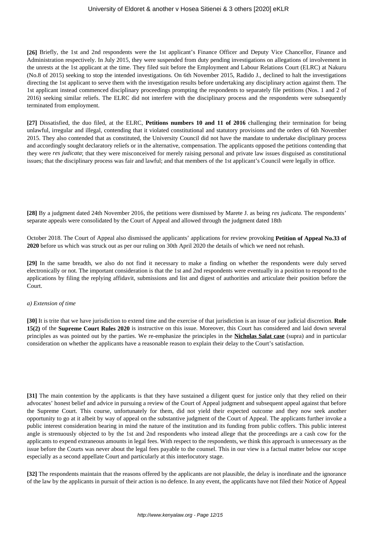**[26]** Briefly, the 1st and 2nd respondents were the 1st applicant's Finance Officer and Deputy Vice Chancellor, Finance and Administration respectively. In July 2015, they were suspended from duty pending investigations on allegations of involvement in the unrests at the 1st applicant at the time. They filed suit before the Employment and Labour Relations Court (ELRC) at Nakuru (No.8 of 2015) seeking to stop the intended investigations. On 6th November 2015, Radido J., declined to halt the investigations directing the 1st applicant to serve them with the investigation results before undertaking any disciplinary action against them. The 1st applicant instead commenced disciplinary proceedings prompting the respondents to separately file petitions (Nos. 1 and 2 of 2016) seeking similar reliefs. The ELRC did not interfere with the disciplinary process and the respondents were subsequently terminated from employment.

**[27]** Dissatisfied, the duo filed, at the ELRC, **Petitions numbers 10 and 11 of 2016** challenging their termination for being unlawful, irregular and illegal, contending that it violated constitutional and statutory provisions and the orders of 6th November 2015. They also contended that as constituted, the University Council did not have the mandate to undertake disciplinary process and accordingly sought declaratory reliefs or in the alternative, compensation. The applicants opposed the petitions contending that they were *res judicata*; that they were misconceived for merely raising personal and private law issues disguised as constitutional issues; that the disciplinary process was fair and lawful; and that members of the 1st applicant's Council were legally in office.

**[28]** By a judgment dated 24th November 2016, the petitions were dismissed by Marete J. as being *res judicata.* The respondents' separate appeals were consolidated by the Court of Appeal and allowed through the judgment dated 18th

October 2018. The Court of Appeal also dismissed the applicants' applications for review provoking **Petition of Appeal No.33 of 2020** before us which was struck out as per our ruling on 30th April 2020 the details of which we need not rehash.

**[29]** In the same breadth, we also do not find it necessary to make a finding on whether the respondents were duly served electronically or not. The important consideration is that the 1st and 2nd respondents were eventually in a position to respond to the applications by filing the replying affidavit, submissions and list and digest of authorities and articulate their position before the Court.

#### *a) Extension of time*

**[30]** It is trite that we have jurisdiction to extend time and the exercise of that jurisdiction is an issue of our judicial discretion. **Rule 15(2)** of the **Supreme Court Rules 2020** is instructive on this issue. Moreover, this Court has considered and laid down several principles as was pointed out by the parties. We re-emphasize the principles in the **Nicholas Salat case** (supra) and in particular consideration on whether the applicants have a reasonable reason to explain their delay to the Court's satisfaction.

**[31]** The main contention by the applicants is that they have sustained a diligent quest for justice only that they relied on their advocates' honest belief and advice in pursuing a review of the Court of Appeal judgment and subsequent appeal against that before the Supreme Court. This course, unfortunately for them, did not yield their expected outcome and they now seek another opportunity to go at it albeit by way of appeal on the substantive judgment of the Court of Appeal. The applicants further invoke a public interest consideration bearing in mind the nature of the institution and its funding from public coffers. This public interest angle is strenuously objected to by the 1st and 2nd respondents who instead allege that the proceedings are a cash cow for the applicants to expend extraneous amounts in legal fees. With respect to the respondents, we think this approach is unnecessary as the issue before the Courts was never about the legal fees payable to the counsel. This in our view is a factual matter below our scope especially as a second appellate Court and particularly at this interlocutory stage.

**[32]** The respondents maintain that the reasons offered by the applicants are not plausible, the delay is inordinate and the ignorance of the law by the applicants in pursuit of their action is no defence. In any event, the applicants have not filed their Notice of Appeal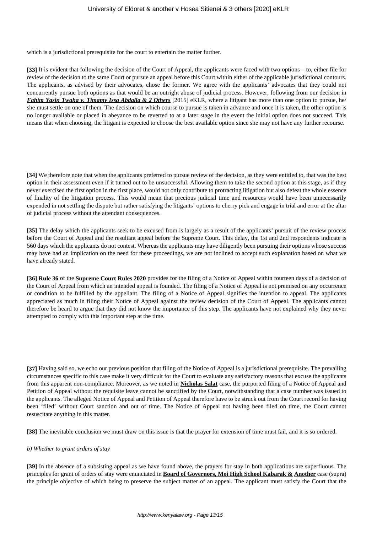which is a jurisdictional prerequisite for the court to entertain the matter further.

**[33]** It is evident that following the decision of the Court of Appeal, the applicants were faced with two options – to, either file for review of the decision to the same Court or pursue an appeal before this Court within either of the applicable jurisdictional contours. The applicants, as advised by their advocates, chose the former. We agree with the applicants' advocates that they could not concurrently pursue both options as that would be an outright abuse of judicial process. However, following from our decision in *Fahim Yasin Twaha v. Timamy Issa Abdalla & 2 Others* [2015] eKLR, where a litigant has more than one option to pursue, he/ she must settle on one of them. The decision on which course to pursue is taken in advance and once it is taken, the other option is no longer available or placed in abeyance to be reverted to at a later stage in the event the initial option does not succeed. This means that when choosing, the litigant is expected to choose the best available option since she may not have any further recourse.

**[34]** We therefore note that when the applicants preferred to pursue review of the decision, as they were entitled to, that was the best option in their assessment even if it turned out to be unsuccessful. Allowing them to take the second option at this stage, as if they never exercised the first option in the first place, would not only contribute to protracting litigation but also defeat the whole essence of finality of the litigation process. This would mean that precious judicial time and resources would have been unnecessarily expended in not settling the dispute but rather satisfying the litigants' options to cherry pick and engage in trial and error at the altar of judicial process without the attendant consequences.

**[35]** The delay which the applicants seek to be excused from is largely as a result of the applicants' pursuit of the review process before the Court of Appeal and the resultant appeal before the Supreme Court. This delay, the 1st and 2nd respondents indicate is 560 days which the applicants do not contest. Whereas the applicants may have diligently been pursuing their options whose success may have had an implication on the need for these proceedings, we are not inclined to accept such explanation based on what we have already stated.

**[36] Rule 36** of the **Supreme Court Rules 2020** provides for the filing of a Notice of Appeal within fourteen days of a decision of the Court of Appeal from which an intended appeal is founded. The filing of a Notice of Appeal is not premised on any occurrence or condition to be fulfilled by the appellant. The filing of a Notice of Appeal signifies the intention to appeal. The applicants appreciated as much in filing their Notice of Appeal against the review decision of the Court of Appeal. The applicants cannot therefore be heard to argue that they did not know the importance of this step. The applicants have not explained why they never attempted to comply with this important step at the time.

**[37]** Having said so, we echo our previous position that filing of the Notice of Appeal is a jurisdictional prerequisite. The prevailing circumstances specific to this case make it very difficult for the Court to evaluate any satisfactory reasons that excuse the applicants from this apparent non-compliance. Moreover, as we noted in **Nicholas Salat** case, the purported filing of a Notice of Appeal and Petition of Appeal without the requisite leave cannot be sanctified by the Court, notwithstanding that a case number was issued to the applicants. The alleged Notice of Appeal and Petition of Appeal therefore have to be struck out from the Court record for having been 'filed' without Court sanction and out of time. The Notice of Appeal not having been filed on time, the Court cannot resuscitate anything in this matter.

**[38]** The inevitable conclusion we must draw on this issue is that the prayer for extension of time must fail, and it is so ordered.

## *b) Whether to grant orders of stay*

**[39]** In the absence of a subsisting appeal as we have found above, the prayers for stay in both applications are superfluous. The principles for grant of orders of stay were enunciated in **Board of Governors, Moi High School Kabarak & Another** case (supra) the principle objective of which being to preserve the subject matter of an appeal. The applicant must satisfy the Court that the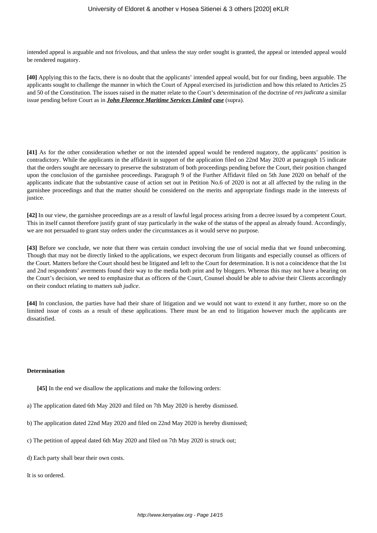intended appeal is arguable and not frivolous, and that unless the stay order sought is granted, the appeal or intended appeal would be rendered nugatory.

**[40]** Applying this to the facts, there is no doubt that the applicants' intended appeal would, but for our finding, been arguable. The applicants sought to challenge the manner in which the Court of Appeal exercised its jurisdiction and how this related to Articles 25 and 50 of the Constitution. The issues raised in the matter relate to the Court's determination of the doctrine of *res judicata* a similar issue pending before Court as in *John Florence Maritime Services Limited case* (supra).

**[41]** As for the other consideration whether or not the intended appeal would be rendered nugatory, the applicants' position is contradictory. While the applicants in the affidavit in support of the application filed on 22nd May 2020 at paragraph 15 indicate that the orders sought are necessary to preserve the substratum of both proceedings pending before the Court, their position changed upon the conclusion of the garnishee proceedings. Paragraph 9 of the Further Affidavit filed on 5th June 2020 on behalf of the applicants indicate that the substantive cause of action set out in Petition No.6 of 2020 is not at all affected by the ruling in the garnishee proceedings and that the matter should be considered on the merits and appropriate findings made in the interests of justice.

**[42]** In our view, the garnishee proceedings are as a result of lawful legal process arising from a decree issued by a competent Court. This in itself cannot therefore justify grant of stay particularly in the wake of the status of the appeal as already found. Accordingly, we are not persuaded to grant stay orders under the circumstances as it would serve no purpose.

**[43]** Before we conclude, we note that there was certain conduct involving the use of social media that we found unbecoming. Though that may not be directly linked to the applications, we expect decorum from litigants and especially counsel as officers of the Court. Matters before the Court should best be litigated and left to the Court for determination. It is not a coincidence that the 1st and 2nd respondents' averments found their way to the media both print and by bloggers. Whereas this may not have a bearing on the Court's decision, we need to emphasize that as officers of the Court, Counsel should be able to advise their Clients accordingly on their conduct relating to matters *sub judice*.

**[44]** In conclusion, the parties have had their share of litigation and we would not want to extend it any further, more so on the limited issue of costs as a result of these applications. There must be an end to litigation however much the applicants are dissatisfied.

#### **Determination**

**[45]** In the end we disallow the applications and make the following orders:

- a) The application dated 6th May 2020 and filed on 7th May 2020 is hereby dismissed.
- b) The application dated 22nd May 2020 and filed on 22nd May 2020 is hereby dismissed;
- c) The petition of appeal dated 6th May 2020 and filed on 7th May 2020 is struck out;
- d) Each party shall bear their own costs.

It is so ordered.